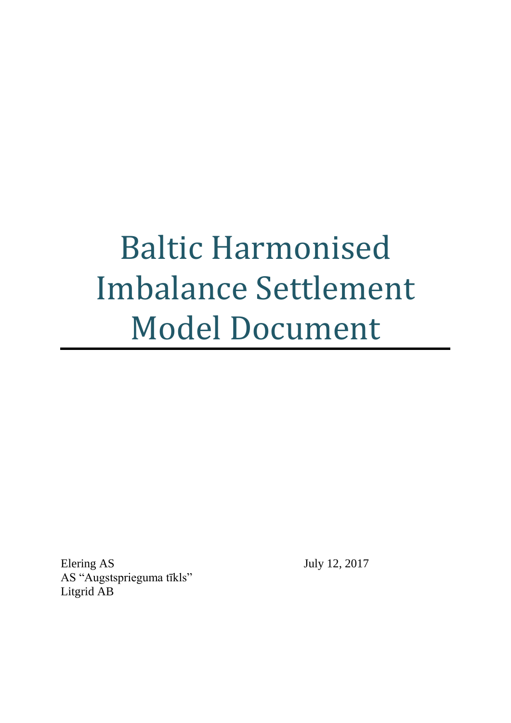# Baltic Harmonised Imbalance Settlement Model Document

Elering AS July 12, 2017 AS "Augstsprieguma tīkls" Litgrid AB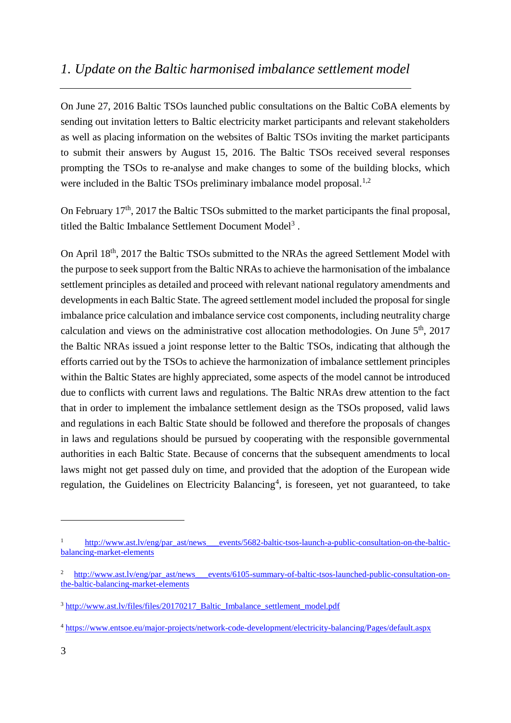## <span id="page-2-0"></span>*1. Update on the Baltic harmonised imbalance settlement model*

On June 27, 2016 Baltic TSOs launched public consultations on the Baltic CoBA elements by sending out invitation letters to Baltic electricity market participants and relevant stakeholders as well as placing information on the websites of Baltic TSOs inviting the market participants to submit their answers by August 15, 2016. The Baltic TSOs received several responses prompting the TSOs to re-analyse and make changes to some of the building blocks, which were included in the Baltic TSOs preliminary imbalance model proposal. $^{1,2}$ 

On February  $17<sup>th</sup>$ , 2017 the Baltic TSOs submitted to the market participants the final proposal, titled the Baltic Imbalance Settlement Document Model<sup>3</sup>.

On April 18<sup>th</sup>, 2017 the Baltic TSOs submitted to the NRAs the agreed Settlement Model with the purpose to seek support from the Baltic NRAsto achieve the harmonisation of the imbalance settlement principles as detailed and proceed with relevant national regulatory amendments and developments in each Baltic State. The agreed settlement model included the proposal for single imbalance price calculation and imbalance service cost components, including neutrality charge calculation and views on the administrative cost allocation methodologies. On June  $5<sup>th</sup>$ , 2017 the Baltic NRAs issued a joint response letter to the Baltic TSOs, indicating that although the efforts carried out by the TSOs to achieve the harmonization of imbalance settlement principles within the Baltic States are highly appreciated, some aspects of the model cannot be introduced due to conflicts with current laws and regulations. The Baltic NRAs drew attention to the fact that in order to implement the imbalance settlement design as the TSOs proposed, valid laws and regulations in each Baltic State should be followed and therefore the proposals of changes in laws and regulations should be pursued by cooperating with the responsible governmental authorities in each Baltic State. Because of concerns that the subsequent amendments to local laws might not get passed duly on time, and provided that the adoption of the European wide regulation, the Guidelines on Electricity Balancing<sup>4</sup>, is foreseen, yet not guaranteed, to take

1

http://www.ast.ly/eng/par\_ast/news\_\_\_events/5682-baltic-tsos-launch-a-public-consultation-on-the-baltic[balancing-market-elements](http://www.ast.lv/eng/par_ast/news___events/5682-baltic-tsos-launch-a-public-consultation-on-the-baltic-balancing-market-elements)

[http://www.ast.lv/eng/par\\_ast/news\\_\\_\\_events/6105-summary-of-baltic-tsos-launched-public-consultation-on](http://www.ast.lv/eng/par_ast/news___events/6105-summary-of-baltic-tsos-launched-public-consultation-on-the-baltic-balancing-market-elements)[the-baltic-balancing-market-elements](http://www.ast.lv/eng/par_ast/news___events/6105-summary-of-baltic-tsos-launched-public-consultation-on-the-baltic-balancing-market-elements)

<sup>&</sup>lt;sup>3</sup> [http://www.ast.lv/files/files/20170217\\_Baltic\\_Imbalance\\_settlement\\_model.pdf](http://www.ast.lv/files/files/20170217_Baltic_Imbalance_settlement_model.pdf)

<sup>4</sup> <https://www.entsoe.eu/major-projects/network-code-development/electricity-balancing/Pages/default.aspx>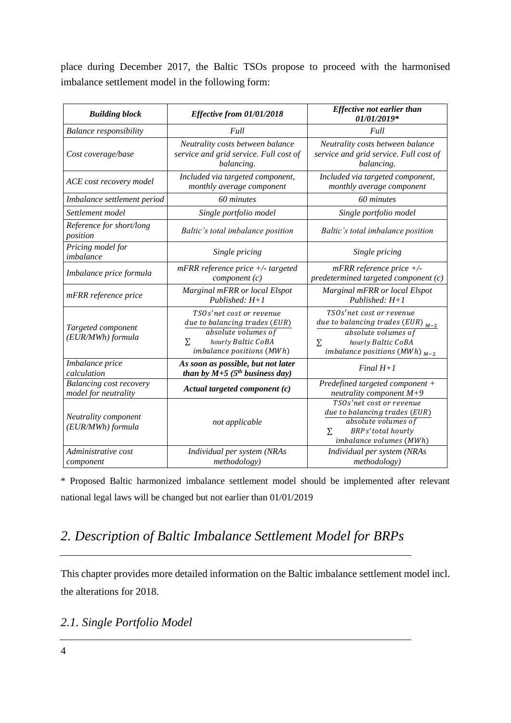place during December 2017, the Baltic TSOs propose to proceed with the harmonised imbalance settlement model in the following form:

| <b>Building block</b>                                  | Effective from 01/01/2018                                                                                                                | <b>Effective not earlier than</b><br>01/01/2019*                                                                                                            |  |  |
|--------------------------------------------------------|------------------------------------------------------------------------------------------------------------------------------------------|-------------------------------------------------------------------------------------------------------------------------------------------------------------|--|--|
| <b>Balance responsibility</b>                          | Full                                                                                                                                     | Full                                                                                                                                                        |  |  |
| Cost coverage/base                                     | Neutrality costs between balance<br>service and grid service. Full cost of<br>balancing.                                                 | Neutrality costs between balance<br>service and grid service. Full cost of<br>balancing.                                                                    |  |  |
| ACE cost recovery model                                | Included via targeted component,<br>monthly average component                                                                            | Included via targeted component,<br>monthly average component                                                                                               |  |  |
| Imbalance settlement period                            | 60 minutes                                                                                                                               | 60 minutes                                                                                                                                                  |  |  |
| Settlement model                                       | Single portfolio model                                                                                                                   | Single portfolio model                                                                                                                                      |  |  |
| Reference for short/long<br>position                   | Baltic's total imbalance position                                                                                                        | Baltic's total imbalance position                                                                                                                           |  |  |
| Pricing model for<br>imbalance                         | Single pricing                                                                                                                           | Single pricing                                                                                                                                              |  |  |
| Imbalance price formula                                | $mFRR$ reference price $+/-$ targeted<br>component(c)                                                                                    | $mFRR$ reference price $+/-$<br>predetermined targeted component (c)                                                                                        |  |  |
| mFRR reference price                                   | Marginal mFRR or local Elspot<br>Published: $H+1$                                                                                        | Marginal mFRR or local Elspot<br>Published: $H+1$                                                                                                           |  |  |
| Targeted component<br>(EUR/MWh) formula                | TSOs'net cost or revenue<br>due to balancing trades (EUR)<br>absolute volumes of<br>hourly Baltic CoBA<br>Σ<br>imbalance positions (MWh) | TSOs'net cost or revenue<br>due to balancing trades (EUR) $_{M-2}$<br>absolute volumes of<br>hourly Baltic CoBA<br>Σ.<br>imbalance positions (MWh) $_{M-2}$ |  |  |
| Imbalance price<br>calculation                         | As soon as possible, but not later<br>than by $M+5$ ( $5^{th}$ business day)                                                             | Final $H+1$                                                                                                                                                 |  |  |
| <b>Balancing cost recovery</b><br>model for neutrality | Actual targeted component $(c)$                                                                                                          | Predefined targeted component +<br>neutrality component $M+9$                                                                                               |  |  |
| Neutrality component<br>(EUR/MWh) formula              | not applicable                                                                                                                           | TSOs'net cost or revenue<br>due to balancing trades (EUR)<br>absolute volumes of<br><b>BRPs'total</b> hourly<br>$\Sigma$<br>imbalance volumes (MWh)         |  |  |
| Administrative cost<br>component                       | Individual per system (NRAs<br><i>methodology</i> )                                                                                      | Individual per system (NRAs<br><i>methodology</i> )                                                                                                         |  |  |

\* Proposed Baltic harmonized imbalance settlement model should be implemented after relevant national legal laws will be changed but not earlier than 01/01/2019

# <span id="page-3-0"></span>*2. Description of Baltic Imbalance Settlement Model for BRPs*

This chapter provides more detailed information on the Baltic imbalance settlement model incl. the alterations for 2018.

## <span id="page-3-1"></span>*2.1. Single Portfolio Model*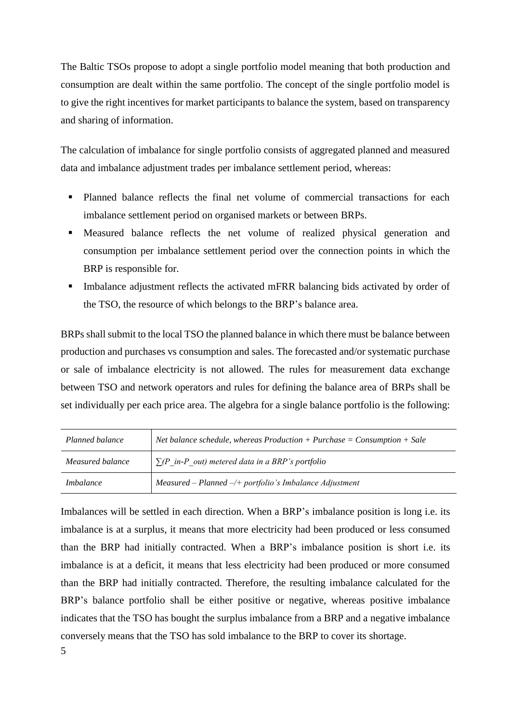The Baltic TSOs propose to adopt a single portfolio model meaning that both production and consumption are dealt within the same portfolio. The concept of the single portfolio model is to give the right incentives for market participants to balance the system, based on transparency and sharing of information.

The calculation of imbalance for single portfolio consists of aggregated planned and measured data and imbalance adjustment trades per imbalance settlement period, whereas:

- Planned balance reflects the final net volume of commercial transactions for each imbalance settlement period on organised markets or between BRPs.
- Measured balance reflects the net volume of realized physical generation and consumption per imbalance settlement period over the connection points in which the BRP is responsible for.
- Imbalance adjustment reflects the activated mFRR balancing bids activated by order of the TSO, the resource of which belongs to the BRP's balance area.

BRPs shall submit to the local TSO the planned balance in which there must be balance between production and purchases vs consumption and sales. The forecasted and/or systematic purchase or sale of imbalance electricity is not allowed. The rules for measurement data exchange between TSO and network operators and rules for defining the balance area of BRPs shall be set individually per each price area. The algebra for a single balance portfolio is the following:

| Planned balance  | Net balance schedule, whereas Production + Purchase = Consumption + Sale |
|------------------|--------------------------------------------------------------------------|
| Measured balance | $\sum (P \text{ in } P \text{ out})$ metered data in a BRP's portfolio   |
| <i>Imbalance</i> | $Measured$ -Planned -/+ portfolio's Imbalance Adjustment                 |

Imbalances will be settled in each direction. When a BRP's imbalance position is long i.e. its imbalance is at a surplus, it means that more electricity had been produced or less consumed than the BRP had initially contracted. When a BRP's imbalance position is short i.e. its imbalance is at a deficit, it means that less electricity had been produced or more consumed than the BRP had initially contracted. Therefore, the resulting imbalance calculated for the BRP's balance portfolio shall be either positive or negative, whereas positive imbalance indicates that the TSO has bought the surplus imbalance from a BRP and a negative imbalance conversely means that the TSO has sold imbalance to the BRP to cover its shortage.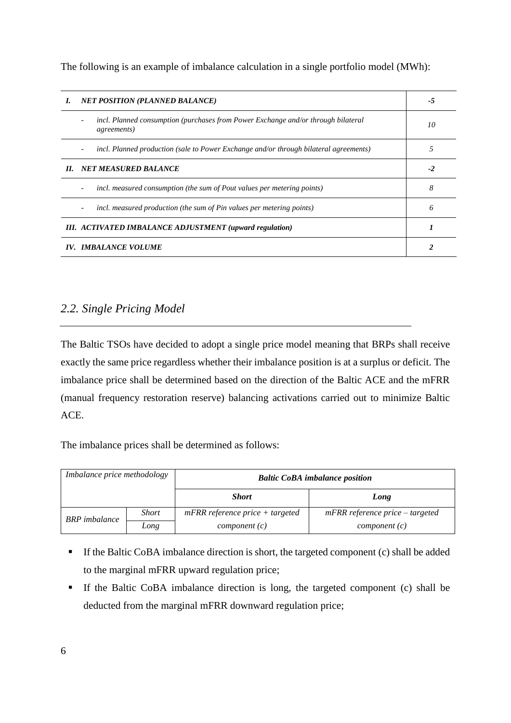The following is an example of imbalance calculation in a single portfolio model (MWh):

| I.                                                             | <b>NET POSITION (PLANNED BALANCE)</b>                                                                    |    |  |  |
|----------------------------------------------------------------|----------------------------------------------------------------------------------------------------------|----|--|--|
|                                                                | incl. Planned consumption (purchases from Power Exchange and/or through bilateral<br><i>agreements</i> ) | 10 |  |  |
|                                                                | incl. Planned production (sale to Power Exchange and/or through bilateral agreements)                    | 5  |  |  |
|                                                                | II. NET MEASURED BALANCE                                                                                 |    |  |  |
|                                                                | incl. measured consumption (the sum of Pout values per metering points)<br>-                             | 8  |  |  |
|                                                                | incl. measured production (the sum of Pin values per metering points)                                    | 6  |  |  |
| <b>III.</b> ACTIVATED IMBALANCE ADJUSTMENT (upward regulation) |                                                                                                          |    |  |  |
| IV. IMBALANCE VOLUME                                           |                                                                                                          |    |  |  |

## <span id="page-5-0"></span>*2.2. Single Pricing Model*

The Baltic TSOs have decided to adopt a single price model meaning that BRPs shall receive exactly the same price regardless whether their imbalance position is at a surplus or deficit. The imbalance price shall be determined based on the direction of the Baltic ACE and the mFRR (manual frequency restoration reserve) balancing activations carried out to minimize Baltic ACE.

The imbalance prices shall be determined as follows:

| Imbalance price methodology |              | <b>Baltic CoBA</b> imbalance position |                                   |  |  |
|-----------------------------|--------------|---------------------------------------|-----------------------------------|--|--|
|                             |              | <b>Short</b>                          | Long                              |  |  |
| <b>BRP</b> imbalance        | <i>Short</i> | $mFRR$ reference price + targeted     | $mFRR$ reference price – targeted |  |  |
|                             | Long         | component(c)                          | component(c)                      |  |  |

- If the Baltic CoBA imbalance direction is short, the targeted component (c) shall be added to the marginal mFRR upward regulation price;
- If the Baltic CoBA imbalance direction is long, the targeted component (c) shall be deducted from the marginal mFRR downward regulation price;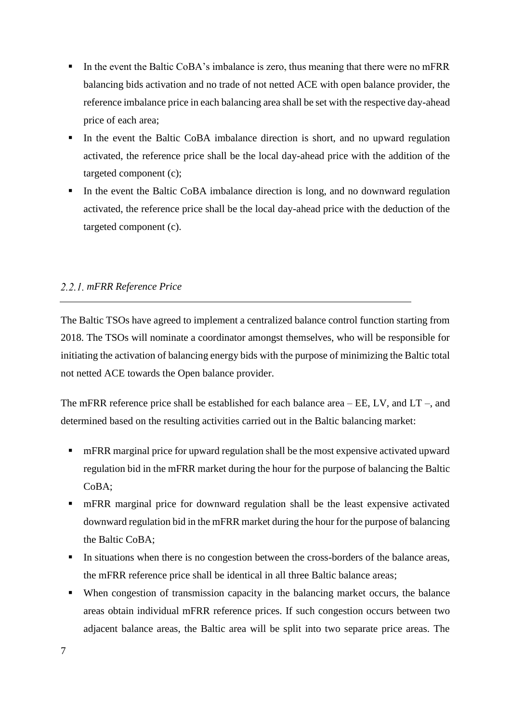- In the event the Baltic CoBA's imbalance is zero, thus meaning that there were no mFRR balancing bids activation and no trade of not netted ACE with open balance provider, the reference imbalance price in each balancing area shall be set with the respective day-ahead price of each area;
- In the event the Baltic CoBA imbalance direction is short, and no upward regulation activated, the reference price shall be the local day-ahead price with the addition of the targeted component (c);
- In the event the Baltic CoBA imbalance direction is long, and no downward regulation activated, the reference price shall be the local day-ahead price with the deduction of the targeted component (c).

#### <span id="page-6-0"></span>*mFRR Reference Price*

The Baltic TSOs have agreed to implement a centralized balance control function starting from 2018. The TSOs will nominate a coordinator amongst themselves, who will be responsible for initiating the activation of balancing energy bids with the purpose of minimizing the Baltic total not netted ACE towards the Open balance provider.

The mFRR reference price shall be established for each balance area – EE, LV, and LT –, and determined based on the resulting activities carried out in the Baltic balancing market:

- mFRR marginal price for upward regulation shall be the most expensive activated upward regulation bid in the mFRR market during the hour for the purpose of balancing the Baltic CoBA;
- mFRR marginal price for downward regulation shall be the least expensive activated downward regulation bid in the mFRR market during the hour for the purpose of balancing the Baltic CoBA;
- In situations when there is no congestion between the cross-borders of the balance areas, the mFRR reference price shall be identical in all three Baltic balance areas;
- When congestion of transmission capacity in the balancing market occurs, the balance areas obtain individual mFRR reference prices. If such congestion occurs between two adjacent balance areas, the Baltic area will be split into two separate price areas. The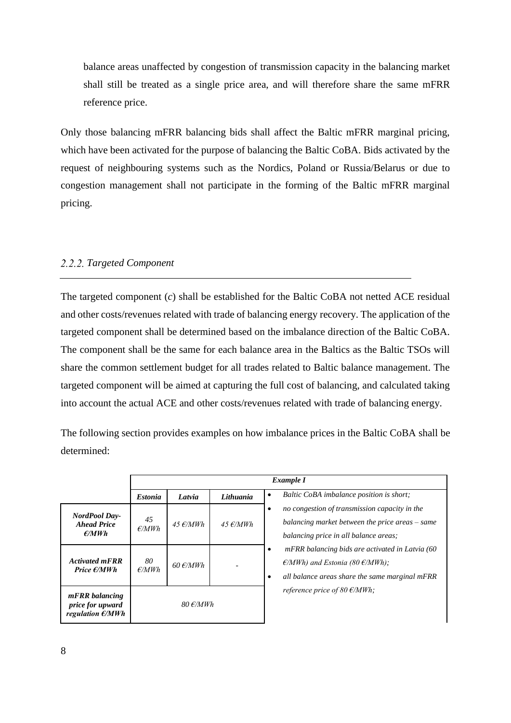balance areas unaffected by congestion of transmission capacity in the balancing market shall still be treated as a single price area, and will therefore share the same mFRR reference price.

Only those balancing mFRR balancing bids shall affect the Baltic mFRR marginal pricing, which have been activated for the purpose of balancing the Baltic CoBA. Bids activated by the request of neighbouring systems such as the Nordics, Poland or Russia/Belarus or due to congestion management shall not participate in the forming of the Baltic mFRR marginal pricing.

#### <span id="page-7-0"></span>*Targeted Component*

The targeted component (*c*) shall be established for the Baltic CoBA not netted ACE residual and other costs/revenues related with trade of balancing energy recovery. The application of the targeted component shall be determined based on the imbalance direction of the Baltic CoBA. The component shall be the same for each balance area in the Baltics as the Baltic TSOs will share the common settlement budget for all trades related to Baltic balance management. The targeted component will be aimed at capturing the full cost of balancing, and calculated taking into account the actual ACE and other costs/revenues related with trade of balancing energy.

The following section provides examples on how imbalance prices in the Baltic CoBA shall be determined:

|                                                                  | Example I             |                           |                    |                                                                                                                                                                   |  |
|------------------------------------------------------------------|-----------------------|---------------------------|--------------------|-------------------------------------------------------------------------------------------------------------------------------------------------------------------|--|
|                                                                  | <b>Estonia</b>        | Latvia                    | Lithuania          | Baltic CoBA imbalance position is short;<br>$\bullet$                                                                                                             |  |
| <b>NordPool Day-</b><br><b>Ahead Price</b><br>$\epsilon$ /MWh    | 45<br>E/MWh           | 45 $\epsilon$ /MWh        | 45 $\epsilon$ /MWh | no congestion of transmission capacity in the<br>٠<br>balancing market between the price areas $-$ same<br>balancing price in all balance areas;                  |  |
| <b>Activated mFRR</b><br>Price $\epsilon/MWh$                    | 80<br>$\epsilon$ /MWh | $60 \frac{\epsilon}{MWh}$ |                    | mFRR balancing bids are activated in Latvia (60<br>٠<br>$\epsilon$ /MWh) and Estonia (80 $\epsilon$ /MWh);<br>all balance areas share the same marginal mFRR<br>٠ |  |
| mFRR balancing<br>price for upward<br>regulation $\epsilon$ /MWh |                       | $80 \text{ E}$ /MWh       |                    | reference price of 80 $\epsilon$ /MWh;                                                                                                                            |  |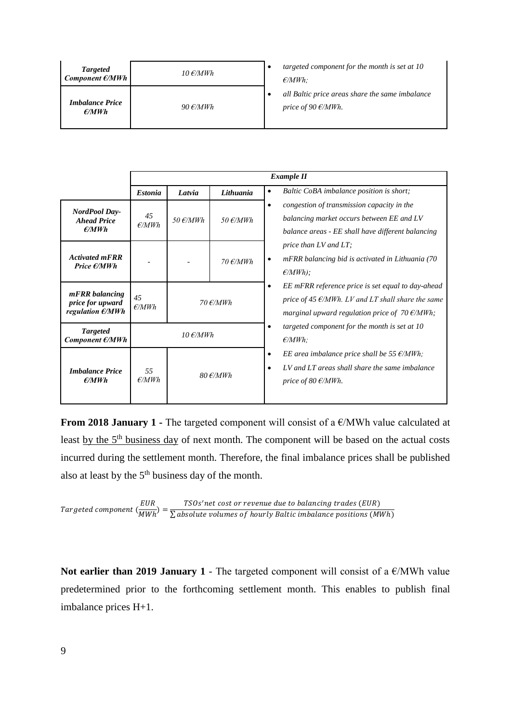| <b>Targeted</b><br>Component $\epsilon$ /MWh | 10 $\epsilon$ /MWh | targeted component for the month is set at 10<br>$\epsilon$ /MWh:               |
|----------------------------------------------|--------------------|---------------------------------------------------------------------------------|
| <b>Imbalance Price</b><br>$\epsilon$ /MWh    | 90 $\epsilon$ /MWh | all Baltic price areas share the same imbalance<br>price of 90 $\epsilon$ /MWh. |

|                                                                  | <b>Example II</b> |                    |                    |                                                                                                                                                                                           |  |
|------------------------------------------------------------------|-------------------|--------------------|--------------------|-------------------------------------------------------------------------------------------------------------------------------------------------------------------------------------------|--|
|                                                                  | <b>Estonia</b>    | Latvia             | Lithuania          | Baltic CoBA imbalance position is short;<br>$\bullet$                                                                                                                                     |  |
| <b>NordPool Day-</b><br><b>Ahead Price</b><br>$\epsilon$ /MWh    | 45<br>E/MWh       | $50 \text{ E/MWh}$ | 50 $\epsilon$ /MWh | congestion of transmission capacity in the<br>$\bullet$<br>balancing market occurs between EE and LV<br>balance areas - EE shall have different balancing                                 |  |
| <b>Activated mFRR</b><br>Price $\epsilon/MWh$                    |                   |                    | 70 $\epsilon$ /MWh | price than $LV$ and $LT$ ;<br>mFRR balancing bid is activated in Lithuania (70<br>$\bullet$<br>$\epsilon$ /MWh);                                                                          |  |
| mFRR balancing<br>price for upward<br>regulation $\epsilon$ /MWh | 45<br>E/MWh       |                    | $70 \t{f/MWh}$     | EE mFRR reference price is set equal to day-ahead<br>$\bullet$<br>price of 45 $\epsilon$ /MWh. LV and LT shall share the same<br>marginal upward regulation price of $70 \text{ E/MWh}$ ; |  |
| <b>Targeted</b><br>Component $\epsilon$ /MWh                     |                   | $10 \text{ E/MWh}$ |                    | targeted component for the month is set at 10<br>$\bullet$<br>$\epsilon$ /MWh:                                                                                                            |  |
| <b>Imbalance Price</b><br>$\epsilon$ /MWh                        | 55<br>E/MWh       |                    | $80 \t{f/MWh}$     | EE area imbalance price shall be 55 $\epsilon$ /MWh;<br>$\bullet$<br>LV and LT areas shall share the same imbalance<br>$\bullet$<br>price of 80 $\epsilon$ /MWh.                          |  |

**From 2018 January 1 -** The targeted component will consist of a €/MWh value calculated at least by the 5<sup>th</sup> business day of next month. The component will be based on the actual costs incurred during the settlement month. Therefore, the final imbalance prices shall be published also at least by the  $5<sup>th</sup>$  business day of the month.

Targeted component 
$$
\left(\frac{EUR}{MWh}\right) = \frac{TSOs'net cost or revenue due to balancing trades (EUR)}{\sum absolute volumes of hourly Baltimore positions (MWh)}
$$

**Not earlier than 2019 January 1** - The targeted component will consist of a €/MWh value predetermined prior to the forthcoming settlement month. This enables to publish final imbalance prices H+1.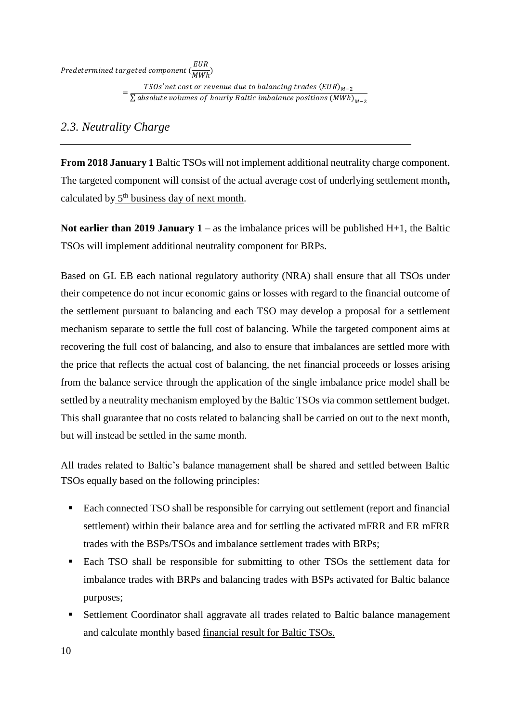EUR<br>Predetermined targeted component (  $\frac{1}{MWh}$ 

> $\frac{TSOs'net cost or revenue due to balancing trades (EUR)<sub>M-2</sub>}{\sum_{i=1}^{N} (1-\frac{1}{2})^{n-i}}$  $\Sigma$  absolute volumes of hourly Baltic imbalance positions  $\left(\textit{MWh}\right)_{\textit{M}-2}$

## <span id="page-9-0"></span>*2.3. Neutrality Charge*

**From 2018 January 1** Baltic TSOs will not implement additional neutrality charge component. The targeted component will consist of the actual average cost of underlying settlement month**,** calculated by  $5<sup>th</sup>$  business day of next month.

**Not earlier than 2019 January 1** – as the imbalance prices will be published H+1, the Baltic TSOs will implement additional neutrality component for BRPs.

Based on GL EB each national regulatory authority (NRA) shall ensure that all TSOs under their competence do not incur economic gains or losses with regard to the financial outcome of the settlement pursuant to balancing and each TSO may develop a proposal for a settlement mechanism separate to settle the full cost of balancing. While the targeted component aims at recovering the full cost of balancing, and also to ensure that imbalances are settled more with the price that reflects the actual cost of balancing, the net financial proceeds or losses arising from the balance service through the application of the single imbalance price model shall be settled by a neutrality mechanism employed by the Baltic TSOs via common settlement budget. This shall guarantee that no costs related to balancing shall be carried on out to the next month, but will instead be settled in the same month.

All trades related to Baltic's balance management shall be shared and settled between Baltic TSOs equally based on the following principles:

- Each connected TSO shall be responsible for carrying out settlement (report and financial settlement) within their balance area and for settling the activated mFRR and ER mFRR trades with the BSPs/TSOs and imbalance settlement trades with BRPs;
- Each TSO shall be responsible for submitting to other TSOs the settlement data for imbalance trades with BRPs and balancing trades with BSPs activated for Baltic balance purposes;
- Settlement Coordinator shall aggravate all trades related to Baltic balance management and calculate monthly based financial result for Baltic TSOs.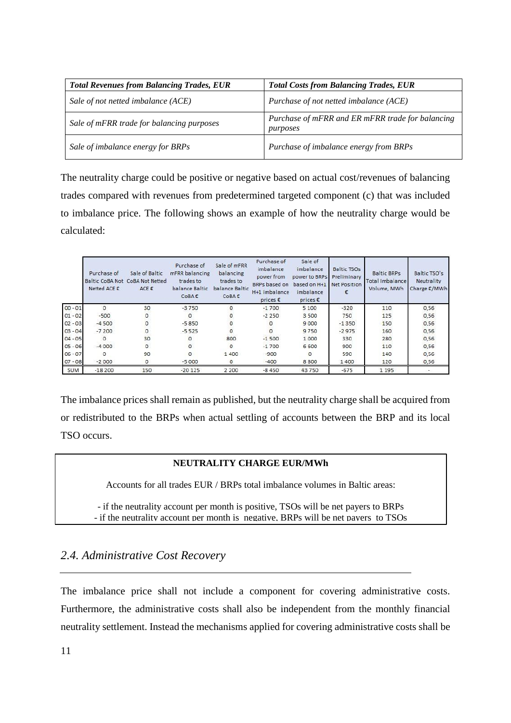| <b>Total Revenues from Balancing Trades, EUR</b> | <b>Total Costs from Balancing Trades, EUR</b>                |
|--------------------------------------------------|--------------------------------------------------------------|
| Sale of not netted imbalance (ACE)               | Purchase of not netted imbalance (ACE)                       |
| Sale of mFRR trade for balancing purposes        | Purchase of mFRR and ER mFRR trade for balancing<br>purposes |
| Sale of imbalance energy for BRPs                | Purchase of imbalance energy from BRPs                       |

The neutrality charge could be positive or negative based on actual cost/revenues of balancing trades compared with revenues from predetermined targeted component (c) that was included to imbalance price. The following shows an example of how the neutrality charge would be calculated:

|            | Purchase of<br>Netted ACE € | Sale of Baltic<br>Baltic CoBA Not CoBA Not Netted<br>ACE€ | Purchase of<br>mFRR balancing<br>trades to<br>balance Baltic<br>CoBA€ | Sale of mFRR<br>balancing<br>trades to<br>balance Baltic<br>CoBA€ | Purchase of<br>imbalance<br>power from<br>BRPs based on<br>H+1 imbalance<br>prices $\epsilon$ | Sale of<br>imbalance<br>power to BRPs<br>based on H+1<br>imbalance<br>prices $\varepsilon$ | <b>Baltic TSOs</b><br>Preliminary<br>Net Position | <b>Baltic BRPs</b><br>Total Imbalance<br>Volume, MWh | Baltic TSO's<br>Neutrality<br>Charge €/MWh |
|------------|-----------------------------|-----------------------------------------------------------|-----------------------------------------------------------------------|-------------------------------------------------------------------|-----------------------------------------------------------------------------------------------|--------------------------------------------------------------------------------------------|---------------------------------------------------|------------------------------------------------------|--------------------------------------------|
| $00 - 01$  | 0                           | 30                                                        | $-3750$                                                               | $\Omega$                                                          | $-1700$                                                                                       | 5 100                                                                                      | $-320$                                            | 110                                                  | 0,56                                       |
| $01 - 02$  | $-500$                      | O                                                         | $\circ$                                                               |                                                                   | $-2250$                                                                                       | 3500                                                                                       | 750                                               | 125                                                  | 0,56                                       |
| $02 - 03$  | $-4500$                     |                                                           | $-5850$                                                               |                                                                   | $\Omega$                                                                                      | 9000                                                                                       | $-1350$                                           | 150                                                  | 0,56                                       |
| $03 - 04$  | $-7200$                     | O                                                         | $-5525$                                                               | 0                                                                 | $\circ$                                                                                       | 9750                                                                                       | $-2975$                                           | 160                                                  | 0,56                                       |
| $04 - 05$  | $\Omega$                    | 30                                                        | $\circ$                                                               | 800                                                               | $-1500$                                                                                       | 1000                                                                                       | 330                                               | 280                                                  | 0,56                                       |
| $05 - 06$  | $-4000$                     | $\circ$                                                   | $\circ$                                                               | $\circ$                                                           | $-1700$                                                                                       | 6 600                                                                                      | 900                                               | 110                                                  | 0,56                                       |
| $06 - 07$  | $\Omega$                    | 90                                                        | $\Omega$                                                              | 1400                                                              | $-900$                                                                                        | $\Omega$                                                                                   | 590                                               | 140                                                  | 0.56                                       |
| $07 - 08$  | $-2000$                     | 0                                                         | $-5000$                                                               | 0                                                                 | $-400$                                                                                        | 8800                                                                                       | 1400                                              | 120                                                  | 0,56                                       |
| <b>SUM</b> | $-18200$                    | 150                                                       | $-20125$                                                              | 2 2 0 0                                                           | $-8450$                                                                                       | 43750                                                                                      | $-675$                                            | 1 1 9 5                                              |                                            |

The imbalance prices shall remain as published, but the neutrality charge shall be acquired from or redistributed to the BRPs when actual settling of accounts between the BRP and its local TSO occurs.

#### **NEUTRALITY CHARGE EUR/MWh**

Accounts for all trades EUR / BRPs total imbalance volumes in Baltic areas:

- if the neutrality account per month is positive, TSOs will be net payers to BRPs - if the neutrality account per month is negative, BRPs will be net payers to TSOs

### <span id="page-10-0"></span>*2.4. Administrative Cost Recovery*

The imbalance price shall not include a component for covering administrative costs. Furthermore, the administrative costs shall also be independent from the monthly financial neutrality settlement. Instead the mechanisms applied for covering administrative costs shall be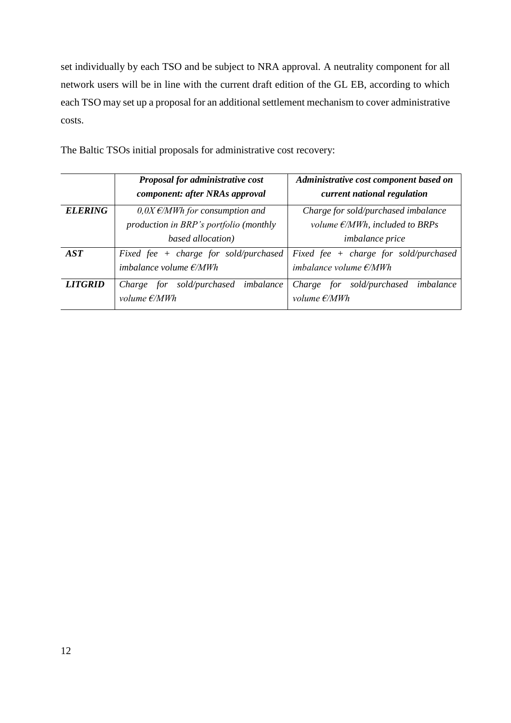set individually by each TSO and be subject to NRA approval. A neutrality component for all network users will be in line with the current draft edition of the GL EB, according to which each TSO may set up a proposal for an additional settlement mechanism to cover administrative costs.

|                       | Proposal for administrative cost<br>component: after NRAs approval | Administrative cost component based on<br>current national regulation |  |  |
|-----------------------|--------------------------------------------------------------------|-----------------------------------------------------------------------|--|--|
|                       |                                                                    |                                                                       |  |  |
| <b>ELERING</b>        | $0.0X \, \epsilon/MWh$ for consumption and                         | Charge for sold/purchased imbalance                                   |  |  |
|                       | production in BRP's portfolio (monthly                             | volume $E/MWh$ , included to BRPs                                     |  |  |
|                       | based allocation)                                                  | <i>imbalance price</i>                                                |  |  |
| $\bm{AST}$            | Fixed fee + charge for sold/purchased                              | Fixed fee $+$ charge for sold/purchased                               |  |  |
|                       | imbalance volume $E/MWh$                                           | imbalance volume $E/MWh$                                              |  |  |
| <i><b>LITGRID</b></i> | Charge for sold/purchased imbalance                                | Charge for sold/purchased imbalance                                   |  |  |
|                       | volume $E/MWh$                                                     | volume $E/MWh$                                                        |  |  |

The Baltic TSOs initial proposals for administrative cost recovery: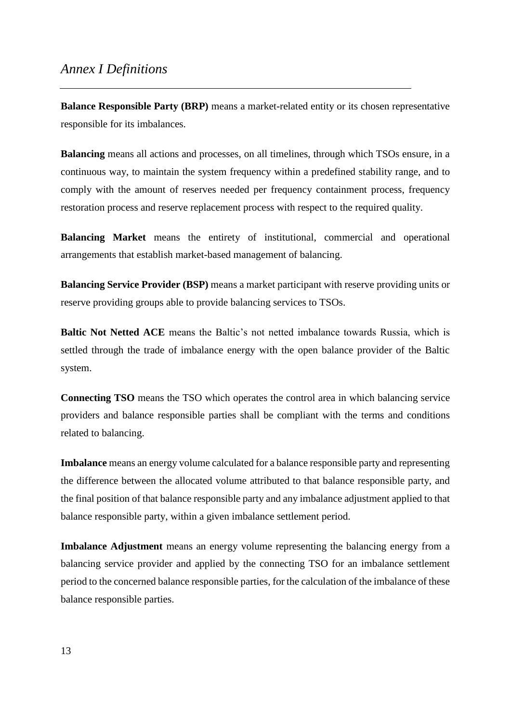## <span id="page-12-0"></span>*Annex I Definitions*

**Balance Responsible Party (BRP)** means a market-related entity or its chosen representative responsible for its imbalances.

**Balancing** means all actions and processes, on all timelines, through which TSOs ensure, in a continuous way, to maintain the system frequency within a predefined stability range, and to comply with the amount of reserves needed per frequency containment process, frequency restoration process and reserve replacement process with respect to the required quality.

**Balancing Market** means the entirety of institutional, commercial and operational arrangements that establish market-based management of balancing.

**Balancing Service Provider (BSP)** means a market participant with reserve providing units or reserve providing groups able to provide balancing services to TSOs.

**Baltic Not Netted ACE** means the Baltic's not netted imbalance towards Russia, which is settled through the trade of imbalance energy with the open balance provider of the Baltic system.

**Connecting TSO** means the TSO which operates the control area in which balancing service providers and balance responsible parties shall be compliant with the terms and conditions related to balancing.

**Imbalance** means an energy volume calculated for a balance responsible party and representing the difference between the allocated volume attributed to that balance responsible party, and the final position of that balance responsible party and any imbalance adjustment applied to that balance responsible party, within a given imbalance settlement period.

**Imbalance Adjustment** means an energy volume representing the balancing energy from a balancing service provider and applied by the connecting TSO for an imbalance settlement period to the concerned balance responsible parties, for the calculation of the imbalance of these balance responsible parties.